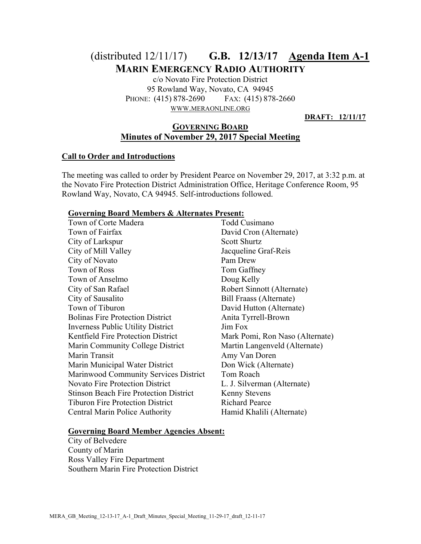# (distributed 12/11/17) **G.B. 12/13/17 Agenda Item A-1 MARIN EMERGENCY RADIO AUTHORITY**

c/o Novato Fire Protection District 95 Rowland Way, Novato, CA 94945 PHONE: (415) 878-2690 FAX: (415) 878-2660 WWW.MERAONLINE.ORG

**DRAFT: 12/11/17**

# **GOVERNING BOARD Minutes of November 29, 2017 Special Meeting**

# **Call to Order and Introductions**

The meeting was called to order by President Pearce on November 29, 2017, at 3:32 p.m. at the Novato Fire Protection District Administration Office, Heritage Conference Room, 95 Rowland Way, Novato, CA 94945. Self-introductions followed.

#### **Governing Board Members & Alternates Present:**

| Town of Corte Madera                          | Todd Cusimano                   |
|-----------------------------------------------|---------------------------------|
| Town of Fairfax                               | David Cron (Alternate)          |
| City of Larkspur                              | <b>Scott Shurtz</b>             |
| City of Mill Valley                           | Jacqueline Graf-Reis            |
| City of Novato                                | Pam Drew                        |
| Town of Ross                                  | Tom Gaffney                     |
| Town of Anselmo                               | Doug Kelly                      |
| City of San Rafael                            | Robert Sinnott (Alternate)      |
| City of Sausalito                             | Bill Fraass (Alternate)         |
| Town of Tiburon                               | David Hutton (Alternate)        |
| <b>Bolinas Fire Protection District</b>       | Anita Tyrrell-Brown             |
| <b>Inverness Public Utility District</b>      | Jim Fox                         |
| <b>Kentfield Fire Protection District</b>     | Mark Pomi, Ron Naso (Alternate) |
| Marin Community College District              | Martin Langenveld (Alternate)   |
| Marin Transit                                 | Amy Van Doren                   |
| Marin Municipal Water District                | Don Wick (Alternate)            |
| Marinwood Community Services District         | Tom Roach                       |
| <b>Novato Fire Protection District</b>        | L. J. Silverman (Alternate)     |
| <b>Stinson Beach Fire Protection District</b> | <b>Kenny Stevens</b>            |
| <b>Tiburon Fire Protection District</b>       | <b>Richard Pearce</b>           |
| Central Marin Police Authority                | Hamid Khalili (Alternate)       |

#### **Governing Board Member Agencies Absent:**

City of Belvedere County of Marin Ross Valley Fire Department Southern Marin Fire Protection District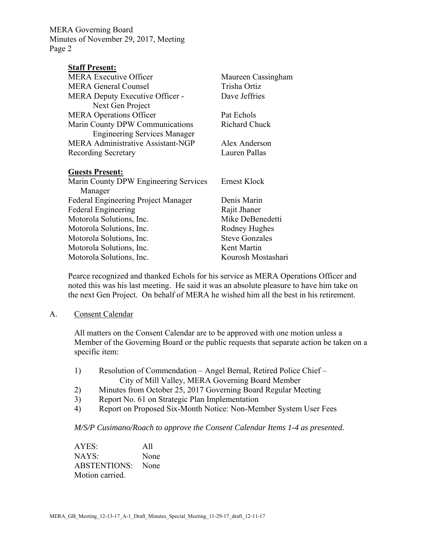| <b>Staff Present:</b>                      |                       |
|--------------------------------------------|-----------------------|
| MERA Executive Officer                     | Maureen Cassingham    |
| <b>MERA General Counsel</b>                | Trisha Ortiz          |
| MERA Deputy Executive Officer -            | Dave Jeffries         |
| Next Gen Project                           |                       |
| <b>MERA Operations Officer</b>             | Pat Echols            |
| Marin County DPW Communications            | <b>Richard Chuck</b>  |
| <b>Engineering Services Manager</b>        |                       |
| MERA Administrative Assistant-NGP          | Alex Anderson         |
| <b>Recording Secretary</b>                 | Lauren Pallas         |
|                                            |                       |
| <b>Guests Present:</b>                     |                       |
| Marin County DPW Engineering Services      | Ernest Klock          |
| Manager                                    |                       |
| <b>Federal Engineering Project Manager</b> | Denis Marin           |
| <b>Federal Engineering</b>                 | Rajit Jhaner          |
| Motorola Solutions, Inc.                   | Mike DeBenedetti      |
| Motorola Solutions, Inc.                   | Rodney Hughes         |
| Motorola Solutions, Inc.                   | <b>Steve Gonzales</b> |
| Motorola Solutions, Inc.                   | Kent Martin           |
| Motorola Solutions, Inc.                   | Kourosh Mostashari    |

Pearce recognized and thanked Echols for his service as MERA Operations Officer and noted this was his last meeting. He said it was an absolute pleasure to have him take on the next Gen Project. On behalf of MERA he wished him all the best in his retirement.

#### A. Consent Calendar

All matters on the Consent Calendar are to be approved with one motion unless a Member of the Governing Board or the public requests that separate action be taken on a specific item:

- 1) Resolution of Commendation Angel Bernal, Retired Police Chief City of Mill Valley, MERA Governing Board Member
- 2) Minutes from October 25, 2017 Governing Board Regular Meeting
- 3) Report No. 61 on Strategic Plan Implementation
- 4) Report on Proposed Six-Month Notice: Non-Member System User Fees

*M/S/P Cusimano/Roach to approve the Consent Calendar Items 1-4 as presented.* 

AYES: All NAYS: None ABSTENTIONS: None Motion carried.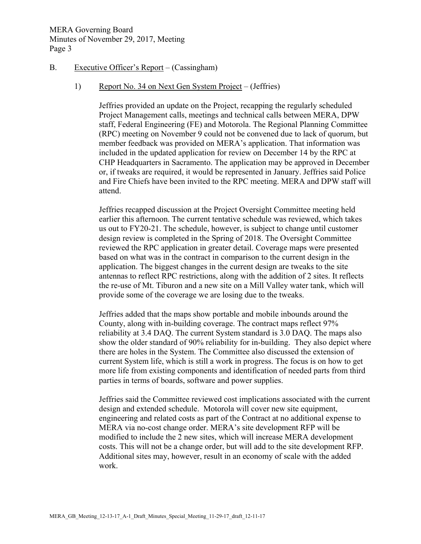# B. Executive Officer's Report – (Cassingham)

## 1) Report No. 34 on Next Gen System Project – (Jeffries)

Jeffries provided an update on the Project, recapping the regularly scheduled Project Management calls, meetings and technical calls between MERA, DPW staff, Federal Engineering (FE) and Motorola. The Regional Planning Committee (RPC) meeting on November 9 could not be convened due to lack of quorum, but member feedback was provided on MERA's application. That information was included in the updated application for review on December 14 by the RPC at CHP Headquarters in Sacramento. The application may be approved in December or, if tweaks are required, it would be represented in January. Jeffries said Police and Fire Chiefs have been invited to the RPC meeting. MERA and DPW staff will attend.

Jeffries recapped discussion at the Project Oversight Committee meeting held earlier this afternoon. The current tentative schedule was reviewed, which takes us out to FY20-21. The schedule, however, is subject to change until customer design review is completed in the Spring of 2018. The Oversight Committee reviewed the RPC application in greater detail. Coverage maps were presented based on what was in the contract in comparison to the current design in the application. The biggest changes in the current design are tweaks to the site antennas to reflect RPC restrictions, along with the addition of 2 sites. It reflects the re-use of Mt. Tiburon and a new site on a Mill Valley water tank, which will provide some of the coverage we are losing due to the tweaks.

Jeffries added that the maps show portable and mobile inbounds around the County, along with in-building coverage. The contract maps reflect 97% reliability at 3.4 DAQ. The current System standard is 3.0 DAQ. The maps also show the older standard of 90% reliability for in-building. They also depict where there are holes in the System. The Committee also discussed the extension of current System life, which is still a work in progress. The focus is on how to get more life from existing components and identification of needed parts from third parties in terms of boards, software and power supplies.

Jeffries said the Committee reviewed cost implications associated with the current design and extended schedule. Motorola will cover new site equipment, engineering and related costs as part of the Contract at no additional expense to MERA via no-cost change order. MERA's site development RFP will be modified to include the 2 new sites, which will increase MERA development costs. This will not be a change order, but will add to the site development RFP. Additional sites may, however, result in an economy of scale with the added work.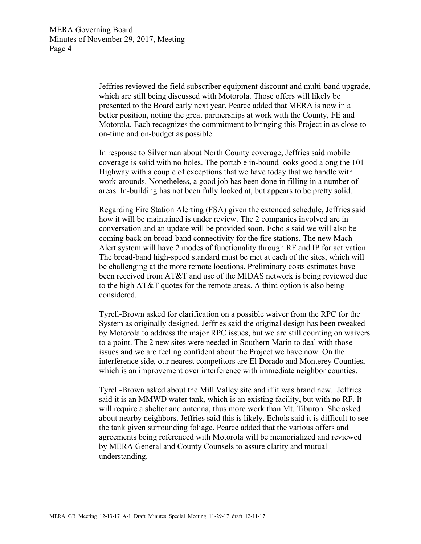Jeffries reviewed the field subscriber equipment discount and multi-band upgrade, which are still being discussed with Motorola. Those offers will likely be presented to the Board early next year. Pearce added that MERA is now in a better position, noting the great partnerships at work with the County, FE and Motorola. Each recognizes the commitment to bringing this Project in as close to on-time and on-budget as possible.

In response to Silverman about North County coverage, Jeffries said mobile coverage is solid with no holes. The portable in-bound looks good along the 101 Highway with a couple of exceptions that we have today that we handle with work-arounds. Nonetheless, a good job has been done in filling in a number of areas. In-building has not been fully looked at, but appears to be pretty solid.

Regarding Fire Station Alerting (FSA) given the extended schedule, Jeffries said how it will be maintained is under review. The 2 companies involved are in conversation and an update will be provided soon. Echols said we will also be coming back on broad-band connectivity for the fire stations. The new Mach Alert system will have 2 modes of functionality through RF and IP for activation. The broad-band high-speed standard must be met at each of the sites, which will be challenging at the more remote locations. Preliminary costs estimates have been received from AT&T and use of the MIDAS network is being reviewed due to the high AT&T quotes for the remote areas. A third option is also being considered.

Tyrell-Brown asked for clarification on a possible waiver from the RPC for the System as originally designed. Jeffries said the original design has been tweaked by Motorola to address the major RPC issues, but we are still counting on waivers to a point. The 2 new sites were needed in Southern Marin to deal with those issues and we are feeling confident about the Project we have now. On the interference side, our nearest competitors are El Dorado and Monterey Counties, which is an improvement over interference with immediate neighbor counties.

Tyrell-Brown asked about the Mill Valley site and if it was brand new. Jeffries said it is an MMWD water tank, which is an existing facility, but with no RF. It will require a shelter and antenna, thus more work than Mt. Tiburon. She asked about nearby neighbors. Jeffries said this is likely. Echols said it is difficult to see the tank given surrounding foliage. Pearce added that the various offers and agreements being referenced with Motorola will be memorialized and reviewed by MERA General and County Counsels to assure clarity and mutual understanding.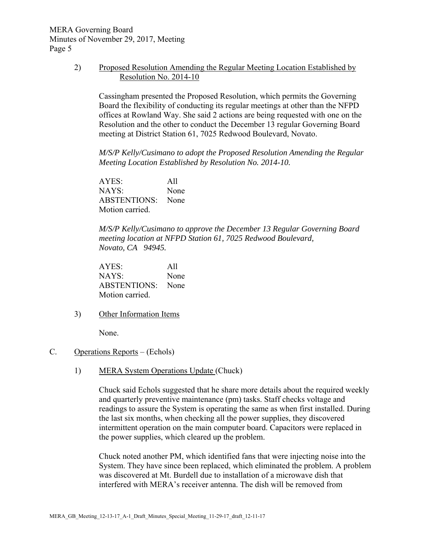> 2) Proposed Resolution Amending the Regular Meeting Location Established by Resolution No. 2014-10

Cassingham presented the Proposed Resolution, which permits the Governing Board the flexibility of conducting its regular meetings at other than the NFPD offices at Rowland Way. She said 2 actions are being requested with one on the Resolution and the other to conduct the December 13 regular Governing Board meeting at District Station 61, 7025 Redwood Boulevard, Novato.

*M/S/P Kelly/Cusimano to adopt the Proposed Resolution Amending the Regular Meeting Location Established by Resolution No. 2014-10.* 

AYES: All NAYS: None ABSTENTIONS: None Motion carried.

*M/S/P Kelly/Cusimano to approve the December 13 Regular Governing Board meeting location at NFPD Station 61, 7025 Redwood Boulevard, Novato, CA 94945.*

AYES: All NAYS: None ABSTENTIONS: None Motion carried.

3) Other Information Items

None.

- C. Operations Reports (Echols)
	- 1) MERA System Operations Update (Chuck)

Chuck said Echols suggested that he share more details about the required weekly and quarterly preventive maintenance (pm) tasks. Staff checks voltage and readings to assure the System is operating the same as when first installed. During the last six months, when checking all the power supplies, they discovered intermittent operation on the main computer board. Capacitors were replaced in the power supplies, which cleared up the problem.

Chuck noted another PM, which identified fans that were injecting noise into the System. They have since been replaced, which eliminated the problem. A problem was discovered at Mt. Burdell due to installation of a microwave dish that interfered with MERA's receiver antenna. The dish will be removed from